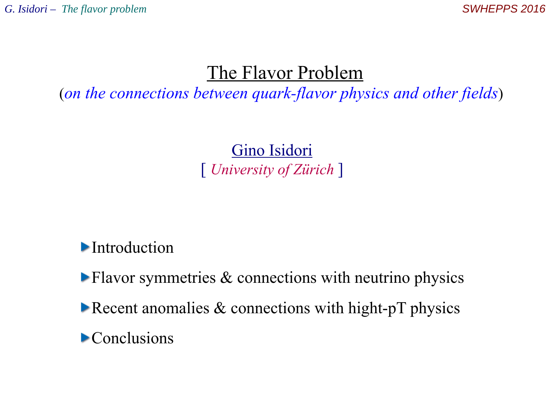# The Flavor Problem

(*on the connections between quark-flavor physics and other fields*)

Gino Isidori [ *University of Zürich* ]

**Introduction** 

 $\blacktriangleright$  Flavor symmetries & connections with neutrino physics

Recent anomalies  $&$  connections with hight-pT physics

**Conclusions**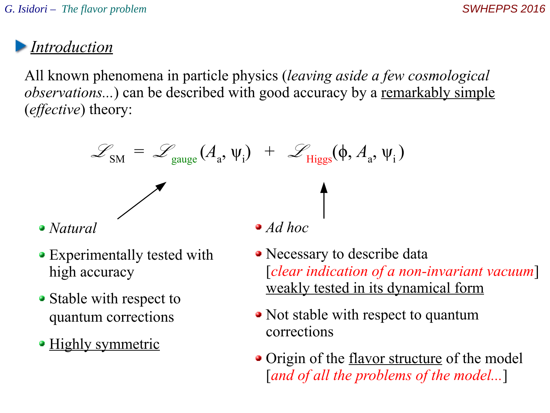All known phenomena in particle physics (*leaving aside a few cosmological observations...*) can be described with good accuracy by a remarkably simple (*effective*) theory:

$$
\mathcal{L}_{\text{SM}} = \mathcal{L}_{\text{gauge}}(A_{a}, \psi_{i}) + \mathcal{L}_{\text{Higgs}}(\phi, A_{a}, \psi_{i})
$$
  
• *Natural* • *Ad hoc*

- Experimentally tested with high accuracy
- Stable with respect to quantum corrections
- Highly symmetric
- Necessary to describe data [*clear indication of a non-invariant vacuum*] weakly tested in its dynamical form
- Not stable with respect to quantum corrections
- Origin of the <u>flavor structure</u> of the model [*and of all the problems of the model...*]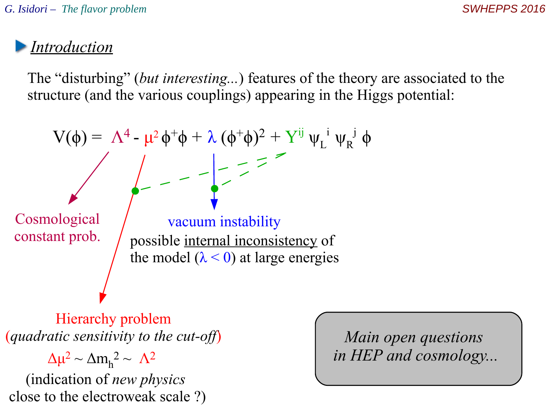The "disturbing" (*but interesting...*) features of the theory are associated to the structure (and the various couplings) appearing in the Higgs potential:



Hierarchy problem (*quadratic sensitivity to the cut-off*)

(indication of *new physics*  close to the electroweak scale ?)  $Δμ<sup>2</sup> ~ Δm<sub>h</sub><sup>2</sup> ~ Λ<sup>2</sup>$ 

*Main open questions in HEP and cosmology...*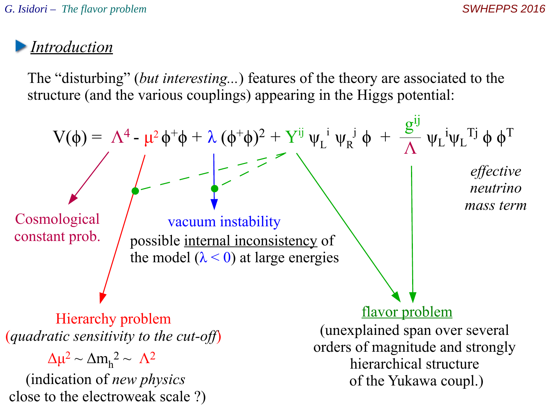The "disturbing" (*but interesting...*) features of the theory are associated to the structure (and the various couplings) appearing in the Higgs potential:

$$
V(\phi) = \Lambda^4 - \mu^2 \phi^+ \phi + \lambda (\phi^+ \phi)^2 + Y^{ij} \psi_L^i \psi_R^j \phi + \frac{g^{ij}}{\Lambda} \psi_L^i \psi_L^{Tj} \phi \phi^T
$$
  
\n
$$
= \frac{1}{\Lambda} \left\{ \begin{array}{c} \text{cosmological} \\ \text{vacuum instability} \\ \text{constant prob.} \end{array} \right\}
$$
\n
$$
= \frac{1}{\Lambda} \left\{ \begin{array}{c} \text{effective} \\ \text{effective} \\ \text{neutrino} \\ \text{mass term} \end{array} \right\}
$$
\n
$$
\text{Hierarchy problem} \\ \text{(quadratic sensitivity to the cut-off)} \\ \Delta \mu^2 \sim \Delta m_h^2 \sim \Lambda^2 \\ \text{(indication of new physics)} \\ \text{close to the electroweak scale ?)} \end{array}
$$
\n
$$
\text{where } \Lambda^2 \text{ is the same as the electric field} \\ \text{quadratic sensitivity to the cut-off} \\ \text{one as the electric field} \\ \text{of the Yukawa coupling} \\ \text{inferachical structure} \\ \text{of the Yukawa coupling.} \\ \text{inferachical structure}
$$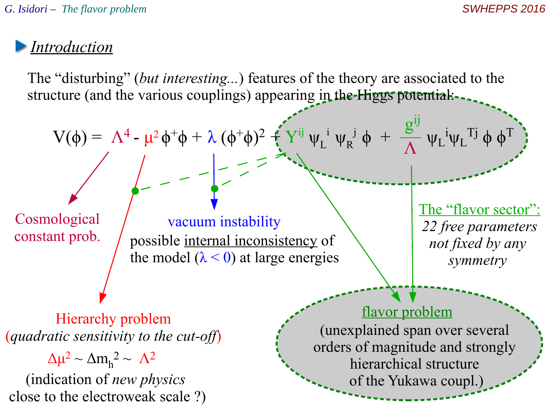The "disturbing" (*but interesting...*) features of the theory are associated to the structure (and the various couplings) appearing in the-Higgs potential:-

$$
V(\phi) = \Lambda^4 - \mu^2 \phi^+ \phi + \lambda (\phi^+ \phi)^2 + Y^{ij} \psi_L^{i} \psi_R^{j} \phi + \frac{g^{ij}}{\Lambda} \psi_L^{i} \psi_L^{i} \eta_L^{j} \phi \phi^T
$$
  
\n
$$
= - \frac{1}{\Lambda} \frac{1}{\Lambda} \frac{1}{\Lambda} \frac{1}{\Lambda} \frac{1}{\Lambda} \frac{1}{\Lambda} \frac{1}{\Lambda} \frac{1}{\Lambda} \frac{1}{\Lambda} \frac{1}{\Lambda} \frac{1}{\Lambda} \frac{1}{\Lambda} \frac{1}{\Lambda} \frac{1}{\Lambda} \frac{1}{\Lambda} \frac{1}{\Lambda} \frac{1}{\Lambda} \frac{1}{\Lambda} \frac{1}{\Lambda} \frac{1}{\Lambda} \frac{1}{\Lambda} \frac{1}{\Lambda} \frac{1}{\Lambda} \frac{1}{\Lambda} \frac{1}{\Lambda} \frac{1}{\Lambda} \frac{1}{\Lambda} \frac{1}{\Lambda} \frac{1}{\Lambda} \frac{1}{\Lambda} \frac{1}{\Lambda} \frac{1}{\Lambda} \frac{1}{\Lambda} \frac{1}{\Lambda} \frac{1}{\Lambda} \frac{1}{\Lambda} \frac{1}{\Lambda} \frac{1}{\Lambda} \frac{1}{\Lambda} \frac{1}{\Lambda} \frac{1}{\Lambda} \frac{1}{\Lambda} \frac{1}{\Lambda} \frac{1}{\Lambda} \frac{1}{\Lambda} \frac{1}{\Lambda} \frac{1}{\Lambda} \frac{1}{\Lambda} \frac{1}{\Lambda} \frac{1}{\Lambda} \frac{1}{\Lambda} \frac{1}{\Lambda} \frac{1}{\Lambda} \frac{1}{\Lambda} \frac{1}{\Lambda} \frac{1}{\Lambda} \frac{1}{\Lambda} \frac{1}{\Lambda} \frac{1}{\Lambda} \frac{1}{\Lambda} \frac{1}{\Lambda} \frac{1}{\Lambda} \frac{1}{\Lambda} \frac{1}{\Lambda} \frac{1}{\Lambda} \frac{1}{\Lambda} \frac{1}{\Lambda} \frac{1}{\Lambda} \frac{1}{\Lambda} \frac{1}{\Lambda} \frac{1}{\Lambda} \frac{1}{\Lambda} \frac{1}{\Lambda} \frac{1}{\Lambda} \frac{1}{\Lambda} \frac{1}{\Lambda} \frac{1}{\Lambda} \frac{1}{\Lambda} \frac{1}{\Lambda} \frac{1}{\Lambda} \frac{1}{\Lambda} \frac{1}{\Lambda} \frac{1
$$

Hierarchy problem (*quadratic sensitivity to the cut-off*)

(indication of *new physics*  close to the electroweak scale ?)  $Δμ<sup>2</sup> ~ Δm<sub>h</sub><sup>2</sup> ~ Λ<sup>2</sup>$ 

(unexplained span over several orders of magnitude and strongly hierarchical structure of the Yukawa coupl.)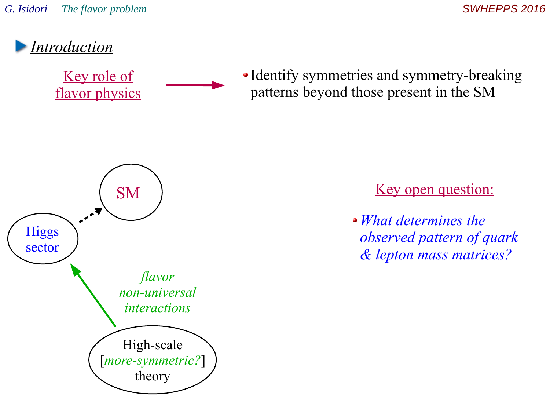

Key role of flavor physics • Identify symmetries and symmetry-breaking patterns beyond those present in the SM



Key open question:

*What determines the observed pattern of quark & lepton mass matrices?*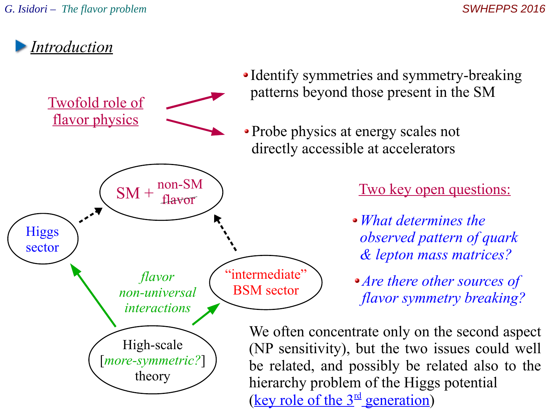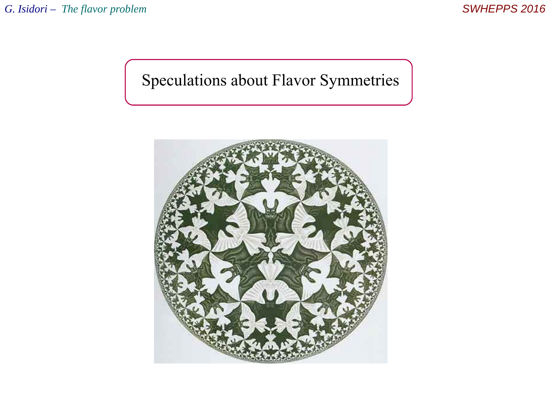# Speculations about Flavor Symmetries

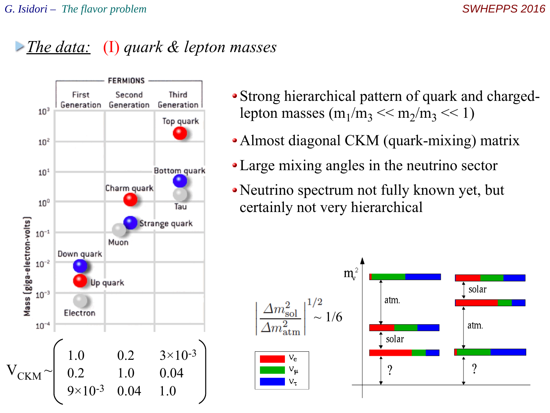### *The data:* (I) *quark & lepton masses*



- Strong hierarchical pattern of quark and chargedlepton masses  $(m_1/m_3 \ll m_2/m_3 \ll 1)$
- Almost diagonal CKM (quark-mixing) matrix
- Large mixing angles in the neutrino sector
- Neutrino spectrum not fully known yet, but certainly not very hierarchical

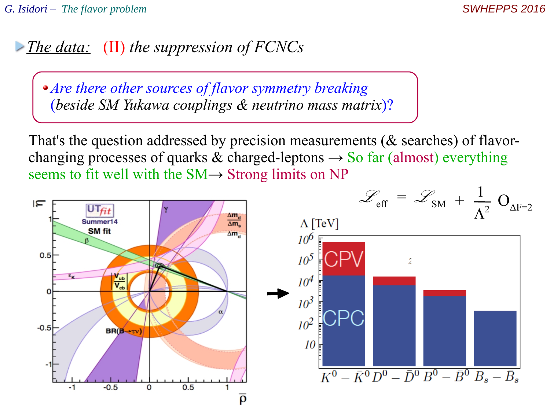### *The data:* (II) *the suppression of FCNCs*

*Are there other sources of flavor symmetry breaking*  (*beside SM Yukawa couplings & neutrino mass matrix*)?

That's the question addressed by precision measurements (& searches) of flavorchanging processes of quarks & charged-leptons  $\rightarrow$  So far (almost) everything seems to fit well with the SM→ Strong limits on NP

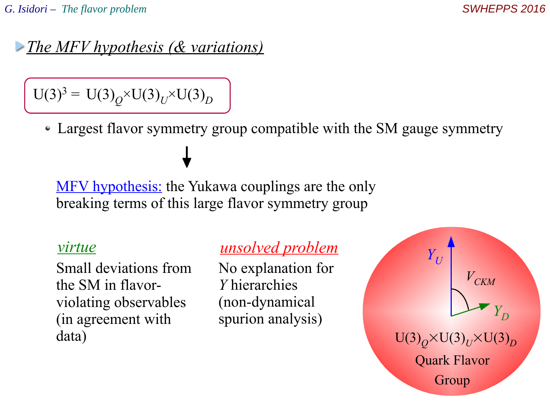#### *The MFV hypothesis (& variations)*

 $U(3)^3 = U(3)_Q \times U(3)_U \times U(3)_D$ 

Largest flavor symmetry group compatible with the SM gauge symmetry

MFV hypothesis: the Yukawa couplings are the only breaking terms of this large flavor symmetry group

Small deviations from the SM in flavorviolating observables (in agreement with data)

#### *virtue unsolved problem*

No explanation for *Y* hierarchies (non-dynamical spurion analysis)

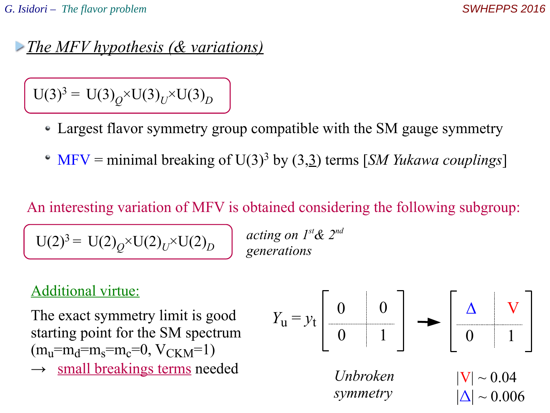$|\Delta| \sim 0.006$ 

#### *The MFV hypothesis (& variations)*

 $U(3)^3 = U(3)_Q \times U(3)_U \times U(3)_D$ 

- Largest flavor symmetry group compatible with the SM gauge symmetry
- MFV = minimal breaking of U(3)<sup>3</sup> by (3,3) terms [*SM Yukawa couplings*]

An interesting variation of MFV is obtained considering the following subgroup:

 $U(2)^3 = U(2)_Q^N V(2)_U^N V(2)_D^N$ 

*acting on 1st& 2nd generations*

#### Additional virtue:

The exact symmetry limit is good starting point for the SM spectrum  $(m_u=m_d=m_s=m_c=0, V_{CKM}=1)$ 

 $\rightarrow$  small breakings terms needed



*symmetry*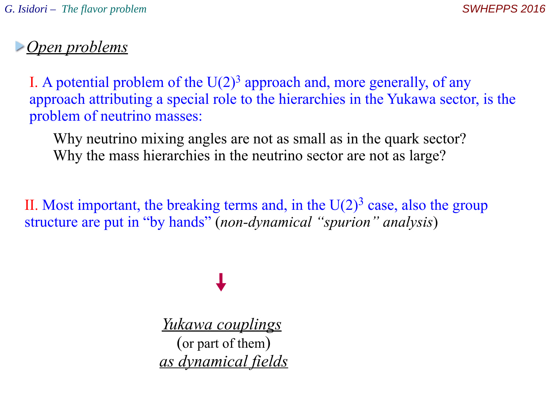### *Open problems*

I. A potential problem of the  $U(2)^3$  approach and, more generally, of any approach attributing a special role to the hierarchies in the Yukawa sector, is the problem of neutrino masses:

Why neutrino mixing angles are not as small as in the quark sector? Why the mass hierarchies in the neutrino sector are not as large?

II. Most important, the breaking terms and, in the  $U(2)^3$  case, also the group structure are put in "by hands" (*non-dynamical "spurion" analysis*)

*Yukawa couplings* (or part of them) *as dynamical fields*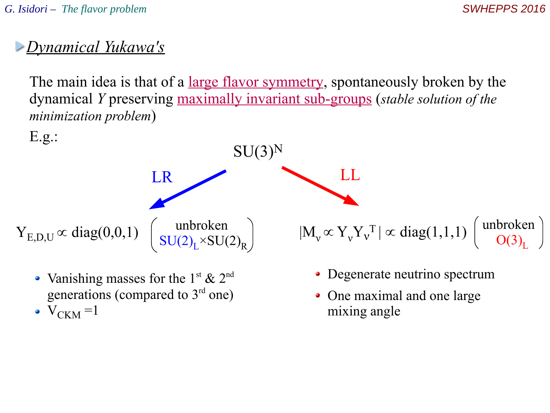# *Dynamical Yukawa's*

The main idea is that of a large flavor symmetry, spontaneously broken by the dynamical *Y* preserving maximally invariant sub-groups (*stable solution of the minimization problem*)



- Vanishing masses for the 1<sup>st</sup> & 2<sup>nd</sup> generations (compared to  $3<sup>rd</sup>$  one)
- $V_{CKM}$  =1
- Degenerate neutrino spectrum
- One maximal and one large mixing angle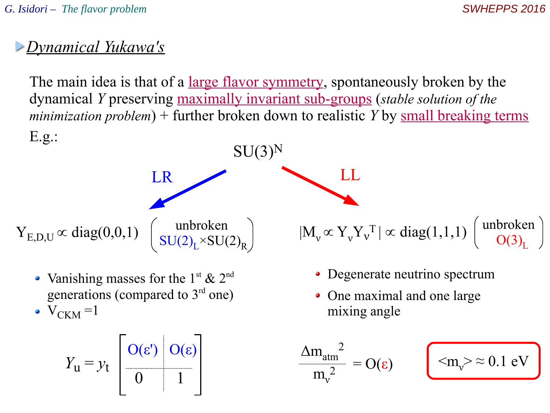### *Dynamical Yukawa's*

The main idea is that of a large flavor symmetry, spontaneously broken by the dynamical *Y* preserving maximally invariant sub-groups (*stable solution of the minimization problem*) + further broken down to realistic *Y* by small breaking terms E.g.:



- Vanishing masses for the 1<sup>st</sup> & 2<sup>nd</sup> generations (compared to  $3<sup>rd</sup>$  one)
- $V_{CKM}$  =1

$$
Y_{\mathbf{u}} = y_{\mathbf{t}} \begin{bmatrix} O(\varepsilon') & O(\varepsilon) \\ 0 & 1 \end{bmatrix} \qquad \qquad \frac{\Delta m_{\text{atm}}^2}{m_v^2} = O(\varepsilon) \qquad \qquad \boxed{\langle m_v \rangle \approx 0.1 \text{ eV}}
$$

• Degenerate neutrino spectrum

• One maximal and one large mixing angle

$$
\frac{\Delta m_{atm}^2}{m_v^2} = O(\epsilon)
$$

$$
\langle m_{\nu} \rangle \approx 0.1 \text{ eV}
$$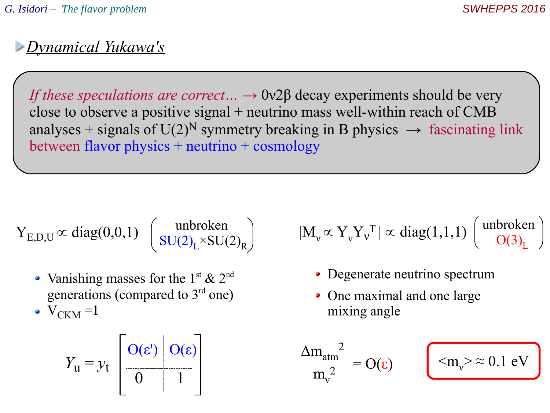# *Dynamical Yukawa's*

*If these speculations are correct...* → 0ν2β decay experiments should be very close to observe a positive signal + neutrino mass well-within reach of CMB analyses + signals of  $U(2)^N$  symmetry breaking in B physics  $\rightarrow$  fascinating link between flavor physics + neutrino + cosmology

$$
Y_{E,D,U} \propto diag(0,0,1) \left( \frac{\text{unbroken}}{\text{SU}(2)_L \times \text{SU}(2)_R} \right)
$$

- Vanishing masses for the 1<sup>st</sup> & 2<sup>nd</sup> generations (compared to  $3<sup>rd</sup>$  one)
- $V_{CKM}$  =1

$$
Y_{\rm u} = y_{\rm t} \begin{bmatrix} O(\varepsilon) & O(\varepsilon) \\ 0 & 1 \end{bmatrix} \qquad \qquad \frac{\Delta m_{\rm atm}^2}{m_{\rm v}^2} = O(\varepsilon) \qquad \qquad \text{Im}_{\rm v} > \approx 0.1 \text{ eV}
$$

unbroken  
\n
$$
[(2)_L \times SU(2)_R)
$$
\n
$$
[M_v \propto Y_v Y_v^T] \propto \text{diag}(1,1,1) \left(\begin{array}{c} \text{unbroken} \\ \text{O}(3)_L \end{array}\right)
$$

- Degenerate neutrino spectrum
- One maximal and one large mixing angle

$$
\frac{\Delta m_{atm}^2}{m_v^2} = O(\epsilon)
$$

$$
\langle m_{\rm v} \rangle \approx 0.1 \text{ eV}
$$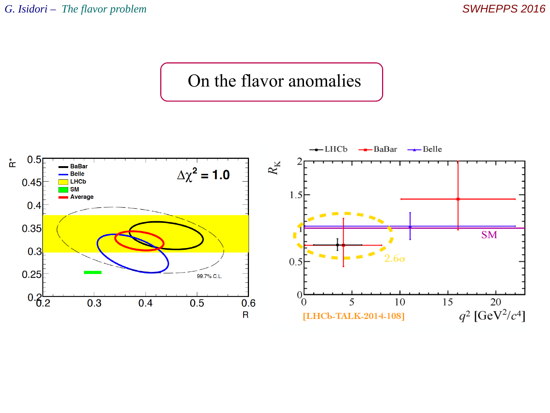# On the flavor anomalies

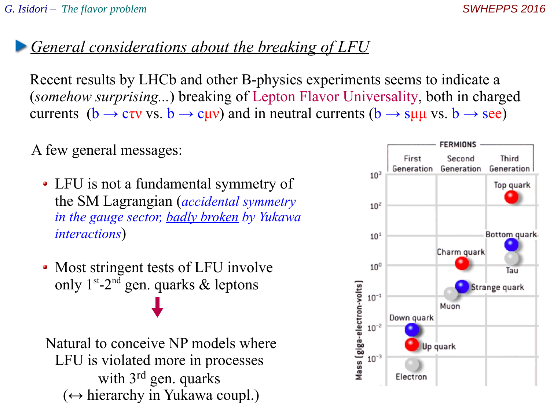#### *General considerations about the breaking of LFU*

Recent results by LHCb and other B-physics experiments seems to indicate a (*somehow surprising...*) breaking of Lepton Flavor Universality, both in charged currents ( $b \rightarrow c\tau v$  vs.  $b \rightarrow c\mu v$ ) and in neutral currents ( $b \rightarrow s\mu\mu$  vs.  $b \rightarrow \text{see}$ )

A few general messages:

- LFU is not a fundamental symmetry of the SM Lagrangian (*accidental symmetry in the gauge sector, badly broken by Yukawa interactions*)
- Most stringent tests of LFU involve only  $1^{st}$ -2<sup>nd</sup> gen. quarks & leptons

Natural to conceive NP models where LFU is violated more in processes with 3<sup>rd</sup> gen. quarks  $(\leftrightarrow$  hierarchy in Yukawa coupl.)

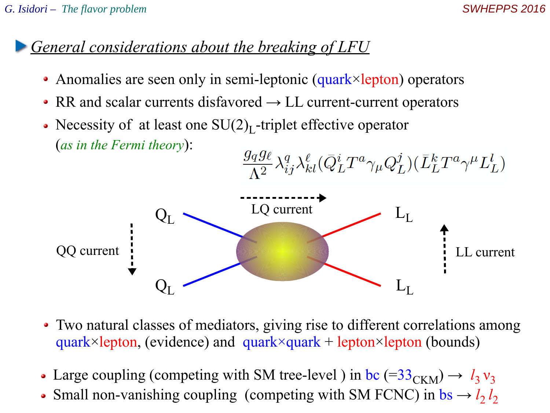# *General considerations about the breaking of LFU*

- Anomalies are seen only in semi-leptonic (quark×lepton) operators
- RR and scalar currents disfavored  $\rightarrow$  LL current-current operators
- Necessity of at least one  $SU(2)_L$ -triplet effective operator (*as in the Fermi theory*):  $\frac{g_q g_\ell}{\Lambda^2} \lambda_{ij}^q \lambda_{kl}^\ell (\bar{Q}_L^i T^a \gamma_\mu Q_L^j)(\bar{L}_L^k T^a \gamma^\mu L_L^l)$



- Two natural classes of mediators, giving rise to different correlations among quark×lepton, (evidence) and quark×quark + lepton×lepton (bounds)
- Large coupling (competing with SM tree-level) in bc  $(=33<sub>CKM</sub>) \rightarrow l_3 v_3$  $\bullet$
- Small non-vanishing coupling (competing with SM FCNC) in  $bs \rightarrow l_2 l_2$  $\bullet$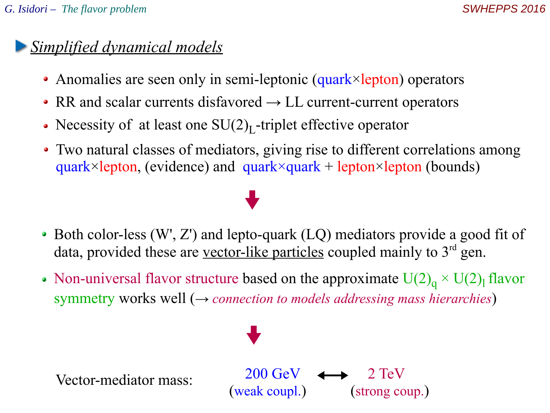# *Simplified dynamical models*

- Anomalies are seen only in semi-leptonic (quark×lepton) operators
- RR and scalar currents disfavored  $\rightarrow$  LL current-current operators
- Necessity of at least one  $SU(2)_L$ -triplet effective operator
- Two natural classes of mediators, giving rise to different correlations among quark×lepton, (evidence) and quark×quark + lepton×lepton (bounds)

- Both color-less (W', Z') and lepto-quark (LQ) mediators provide a good fit of data, provided these are vector-like particles coupled mainly to  $3<sup>rd</sup>$  gen.
- Non-universal flavor structure based on the approximate  $U(2)<sub>q</sub> \times U(2)<sub>l</sub>$  flavor symmetry works well (→ *connection to models addressing mass hierarchies*)

 $200 \text{ GeV}$   $\longleftrightarrow$  2 TeV

(weak coupl.) (strong coup.)

Vector-mediator mass: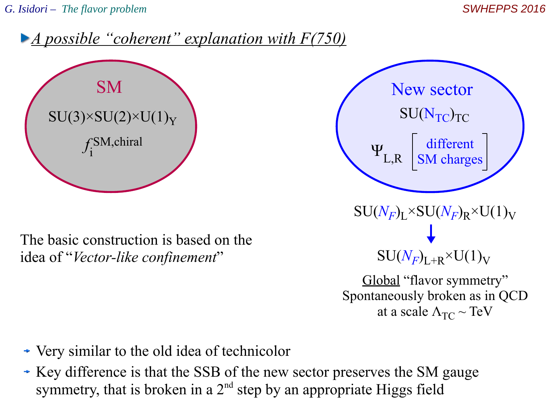



The basic construction is based on the idea of "*Vector-like confinement*"



- Very similar to the old idea of technicolor
- Key difference is that the SSB of the new sector preserves the SM gauge symmetry, that is broken in a  $2<sup>nd</sup>$  step by an appropriate Higgs field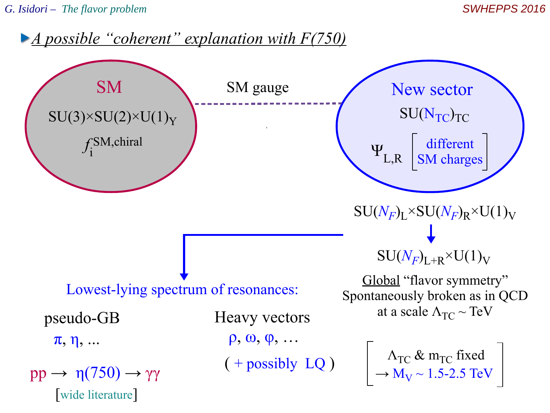*G. Isidori – The flavor problem SWHEPPS 2016*

*A possible "coherent" explanation with F(750)*

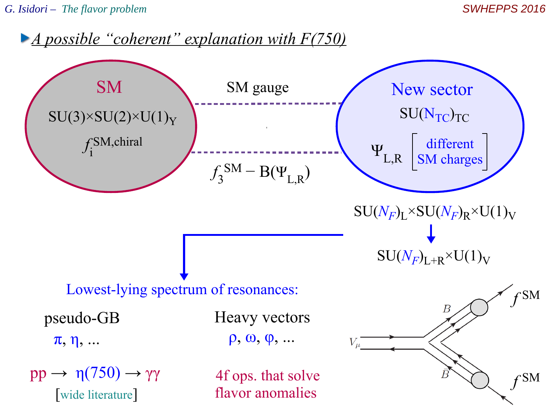*G. Isidori – The flavor problem SWHEPPS 2016*

*A possible "coherent" explanation with F(750)*

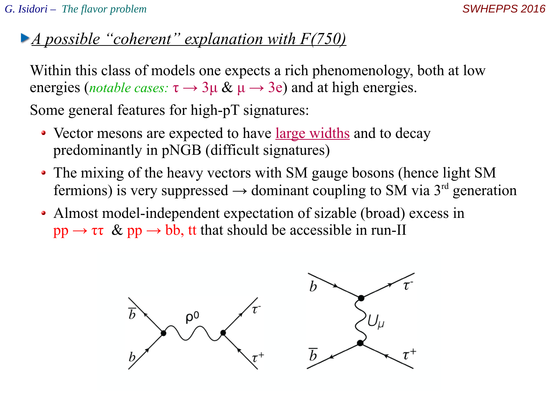### *A possible "coherent" explanation with F(750)*

Within this class of models one expects a rich phenomenology, both at low energies (*notable cases:*  $\tau \rightarrow 3\mu \& \mu \rightarrow 3e$ ) and at high energies.

Some general features for high-pT signatures:

- Vector mesons are expected to have <u>large widths</u> and to decay predominantly in pNGB (difficult signatures)
- The mixing of the heavy vectors with SM gauge bosons (hence light SM fermions) is very suppressed  $\rightarrow$  dominant coupling to SM via 3<sup>rd</sup> generation
- Almost model-independent expectation of sizable (broad) excess in  $pp \rightarrow \tau \tau \& pp \rightarrow bb$ , tt that should be accessible in run-II